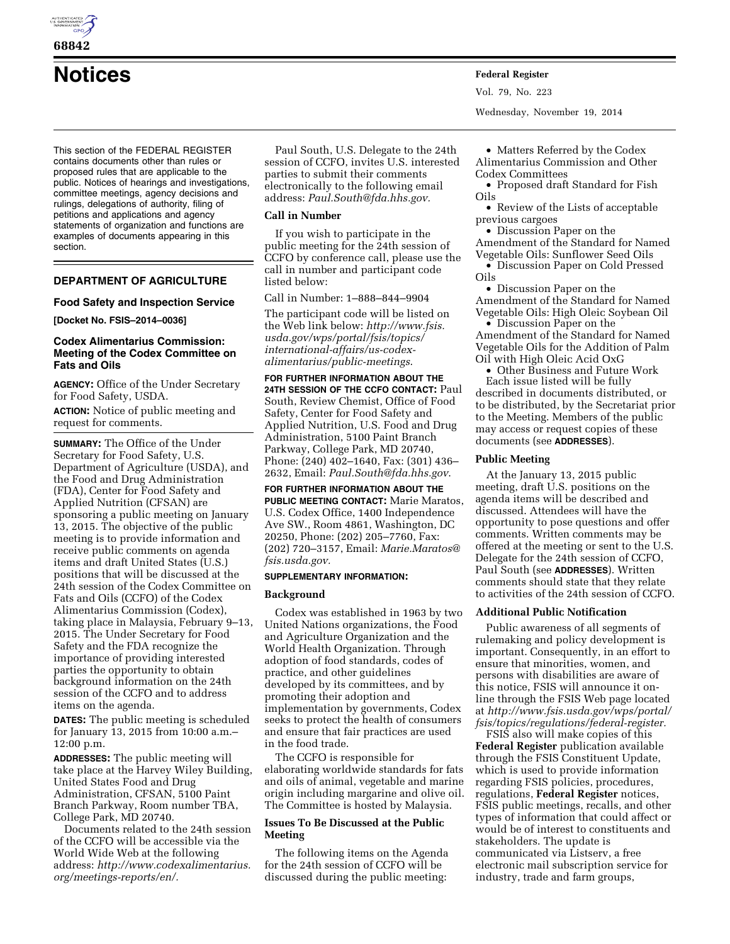

**68842** 

**Notices Federal Register**

This section of the FEDERAL REGISTER contains documents other than rules or proposed rules that are applicable to the public. Notices of hearings and investigations, committee meetings, agency decisions and rulings, delegations of authority, filing of petitions and applications and agency statements of organization and functions are examples of documents appearing in this section.

# **DEPARTMENT OF AGRICULTURE**

### **Food Safety and Inspection Service**

**[Docket No. FSIS–2014–0036]** 

## **Codex Alimentarius Commission: Meeting of the Codex Committee on Fats and Oils**

**AGENCY:** Office of the Under Secretary for Food Safety, USDA.

**ACTION:** Notice of public meeting and request for comments.

**SUMMARY:** The Office of the Under Secretary for Food Safety, U.S. Department of Agriculture (USDA), and the Food and Drug Administration (FDA), Center for Food Safety and Applied Nutrition (CFSAN) are sponsoring a public meeting on January 13, 2015. The objective of the public meeting is to provide information and receive public comments on agenda items and draft United States (U.S.) positions that will be discussed at the 24th session of the Codex Committee on Fats and Oils (CCFO) of the Codex Alimentarius Commission (Codex), taking place in Malaysia, February 9–13, 2015. The Under Secretary for Food Safety and the FDA recognize the importance of providing interested parties the opportunity to obtain background information on the 24th session of the CCFO and to address items on the agenda.

**DATES:** The public meeting is scheduled for January 13, 2015 from 10:00 a.m.– 12:00 p.m.

**ADDRESSES:** The public meeting will take place at the Harvey Wiley Building, United States Food and Drug Administration, CFSAN, 5100 Paint Branch Parkway, Room number TBA, College Park, MD 20740.

Documents related to the 24th session of the CCFO will be accessible via the World Wide Web at the following address: *[http://www.codexalimentarius.](http://www.codexalimentarius.org/meetings-reports/en/) [org/meetings-reports/en/.](http://www.codexalimentarius.org/meetings-reports/en/)* 

Paul South, U.S. Delegate to the 24th session of CCFO, invites U.S. interested parties to submit their comments electronically to the following email address: *[Paul.South@fda.hhs.gov.](mailto:Paul.South@fda.hhs.gov)* 

### **Call in Number**

If you wish to participate in the public meeting for the 24th session of CCFO by conference call, please use the call in number and participant code listed below:

Call in Number: 1–888–844–9904

The participant code will be listed on the Web link below: *[http://www.fsis.](http://www.fsis.usda.gov/wps/portal/fsis/topics/international-affairs/us-codex-alimentarius/public-meetings) [usda.gov/wps/portal/fsis/topics/](http://www.fsis.usda.gov/wps/portal/fsis/topics/international-affairs/us-codex-alimentarius/public-meetings) [international-affairs/us-codex](http://www.fsis.usda.gov/wps/portal/fsis/topics/international-affairs/us-codex-alimentarius/public-meetings)[alimentarius/public-meetings](http://www.fsis.usda.gov/wps/portal/fsis/topics/international-affairs/us-codex-alimentarius/public-meetings)*.

**FOR FURTHER INFORMATION ABOUT THE 24TH SESSION OF THE CCFO CONTACT:** Paul South, Review Chemist, Office of Food Safety, Center for Food Safety and Applied Nutrition, U.S. Food and Drug Administration, 5100 Paint Branch Parkway, College Park, MD 20740, Phone: (240) 402–1640, Fax: (301) 436– 2632, Email: *[Paul.South@fda.hhs.gov](mailto:Paul.South@fda.hhs.gov)*.

**FOR FURTHER INFORMATION ABOUT THE PUBLIC MEETING CONTACT:** Marie Maratos, U.S. Codex Office, 1400 Independence Ave SW., Room 4861, Washington, DC 20250, Phone: (202) 205–7760, Fax: (202) 720–3157, Email: *[Marie.Maratos@](mailto:Marie.Maratos@fsis.usda.gov) [fsis.usda.gov.](mailto:Marie.Maratos@fsis.usda.gov)* 

#### **SUPPLEMENTARY INFORMATION:**

### **Background**

Codex was established in 1963 by two United Nations organizations, the Food and Agriculture Organization and the World Health Organization. Through adoption of food standards, codes of practice, and other guidelines developed by its committees, and by promoting their adoption and implementation by governments, Codex seeks to protect the health of consumers and ensure that fair practices are used in the food trade.

The CCFO is responsible for elaborating worldwide standards for fats and oils of animal, vegetable and marine origin including margarine and olive oil. The Committee is hosted by Malaysia.

## **Issues To Be Discussed at the Public Meeting**

The following items on the Agenda for the 24th session of CCFO will be discussed during the public meeting:

Vol. 79, No. 223 Wednesday, November 19, 2014

• Matters Referred by the Codex Alimentarius Commission and Other Codex Committees

• Proposed draft Standard for Fish Oils

• Review of the Lists of acceptable previous cargoes

• Discussion Paper on the Amendment of the Standard for Named

Vegetable Oils: Sunflower Seed Oils • Discussion Paper on Cold Pressed Oils

• Discussion Paper on the Amendment of the Standard for Named Vegetable Oils: High Oleic Soybean Oil

• Discussion Paper on the Amendment of the Standard for Named Vegetable Oils for the Addition of Palm Oil with High Oleic Acid OxG

• Other Business and Future Work Each issue listed will be fully described in documents distributed, or to be distributed, by the Secretariat prior to the Meeting. Members of the public may access or request copies of these documents (see **ADDRESSES**).

### **Public Meeting**

At the January 13, 2015 public meeting, draft U.S. positions on the agenda items will be described and discussed. Attendees will have the opportunity to pose questions and offer comments. Written comments may be offered at the meeting or sent to the U.S. Delegate for the 24th session of CCFO, Paul South (see **ADDRESSES**). Written comments should state that they relate to activities of the 24th session of CCFO.

#### **Additional Public Notification**

Public awareness of all segments of rulemaking and policy development is important. Consequently, in an effort to ensure that minorities, women, and persons with disabilities are aware of this notice, FSIS will announce it online through the FSIS Web page located at *[http://www.fsis.usda.gov/wps/portal/](http://www.fsis.usda.gov/wps/portal/fsis/topics/regulations/federal-register) [fsis/topics/regulations/federal-register.](http://www.fsis.usda.gov/wps/portal/fsis/topics/regulations/federal-register)* 

FSIS also will make copies of this **Federal Register** publication available through the FSIS Constituent Update, which is used to provide information regarding FSIS policies, procedures, regulations, **Federal Register** notices, FSIS public meetings, recalls, and other types of information that could affect or would be of interest to constituents and stakeholders. The update is communicated via Listserv, a free electronic mail subscription service for industry, trade and farm groups,